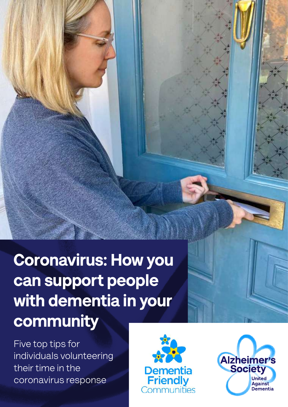Coronavirus: How you can support people with dementia in your community

Five top tips for individuals volunteering their time in the coronavirus response



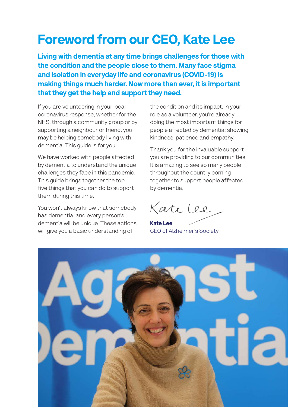### Foreword from our CEO, Kate Lee

Living with dementia at any time brings challenges for those with the condition and the people close to them. Many face stigma and isolation in everyday life and coronavirus (COVID-19) is making things much harder. Now more than ever, it is important that they get the help and support they need.

If you are volunteering in your local coronavirus response, whether for the NHS, through a community group or by supporting a neighbour or friend, you may be helping somebody living with dementia. This guide is for you.

We have worked with people affected by dementia to understand the unique challenges they face in this pandemic. This guide brings together the top five things that you can do to support them during this time.

You won't always know that somebody has dementia, and every person's dementia will be unique. These actions will give you a basic understanding of

the condition and its impact. In your role as a volunteer, you're already doing the most important things for people affected by dementia; showing kindness, patience and empathy.

Thank you for the invaluable support you are providing to our communities. It is amazing to see so many people throughout the country coming together to support people affected by dementia.

Kate Lee

Kate Lee CEO of Alzheimer's Society

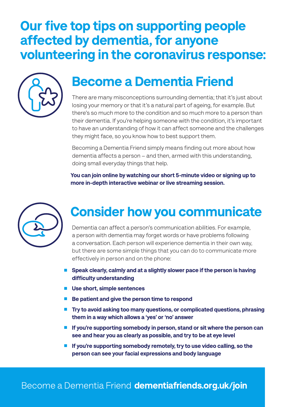#### Our five top tips on supporting people affected by dementia, for anyone volunteering in the coronavirus response:



#### Become a Dementia Friend

There are many misconceptions surrounding dementia; that it's just about losing your memory or that it's a natural part of ageing, for example. But there's so much more to the condition and so much more to a person than their dementia. If you're helping someone with the condition, it's important to have an understanding of how it can affect someone and the challenges they might face, so you know how to best support them.

Becoming a Dementia Friend simply means finding out more about how dementia affects a person – and then, armed with this understanding, doing small everyday things that help.

You can join online by watching our short 5-minute video or signing up to more in-depth interactive webinar or live streaming session.



### Consider how you communicate

Dementia can affect a person's communication abilities. For example, a person with dementia may forget words or have problems following a conversation. Each person will experience dementia in their own way, but there are some simple things that you can do to communicate more effectively in person and on the phone:

- Speak clearly, calmly and at a slightly slower pace if the person is having difficulty understanding
- Use short, simple sentences
- Be patient and give the person time to respond
- Try to avoid asking too many questions, or complicated questions, phrasing them in a way which allows a 'yes' or 'no' answer
- If you're supporting somebody in person, stand or sit where the person can see and hear you as clearly as possible, and try to be at eye level
- If you're supporting somebody remotely, try to use video calling, so the person can see your facial expressions and body language

#### Become a Dementia Friend [dementiafriends.org.uk/join](http://dementiafriends.org.uk/join)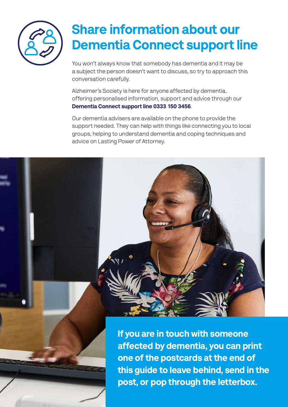

## Share information about our Dementia Connect support line

You won't always know that somebody has dementia and it may be a subject the person doesn't want to discuss, so try to approach this conversation carefully.

Alzheimer's Society is here for anyone affected by dementia, offering personalised information, support and advice through our Dementia Connect support line 0333 150 3456.

Our dementia advisers are available on the phone to provide the support needed. They can help with things like connecting you to local groups, helping to understand dementia and coping techniques and advice on Lasting Power of Attorney.

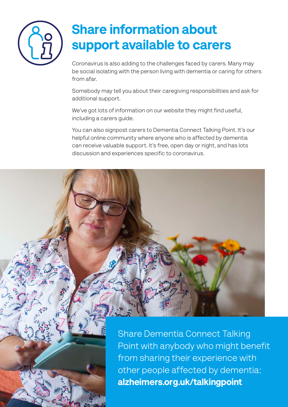

## Share information about support available to carers

Coronavirus is also adding to the challenges faced by carers. Many may be social isolating with the person living with dementia or caring for others from afar.

Somebody may tell you about their caregiving responsibilities and ask for additional support.

We've got lots of information on our website they might find useful, including a carers guide.

You can also signpost carers to Dementia Connect Talking Point. It's our helpful online community where anyone who is affected by dementia can receive valuable support. It's free, open day or night, and has lots discussion and experiences specific to coronavirus.



Share Dementia Connect Talking Point with anybody who might benefit from sharing their experience with other people affected by dementia: [alzheimers.org.uk/talkingpoint](http://alzheimers.org.uk/talkingpoint)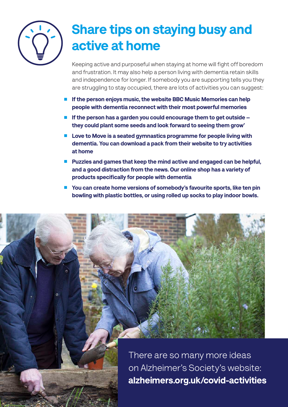

## Share tips on staying busy and active at home

Keeping active and purposeful when staying at home will fight off boredom and frustration. It may also help a person living with dementia retain skills and independence for longer. If somebody you are supporting tells you they are struggling to stay occupied, there are lots of activities you can suggest:

- If the person enjoys music, the website BBC Music Memories can help people with dementia reconnect with their most powerful memories
- If the person has a garden you could encourage them to get outside they could plant some seeds and look forward to seeing them grow'
- Love to Move is a seated gymnastics programme for people living with dementia. You can download a pack from their website to try activities at home
- Puzzles and games that keep the mind active and engaged can be helpful, and a good distraction from the news. Our online shop has a variety of products specifically for people with dementia
- You can create home versions of somebody's favourite sports, like ten pin bowling with plastic bottles, or using rolled up socks to play indoor bowls.

There are so many more ideas on Alzheimer's Society's website: [alzheimers.org.uk/covid-activities](http://alzheimers.org.uk/covid-activities)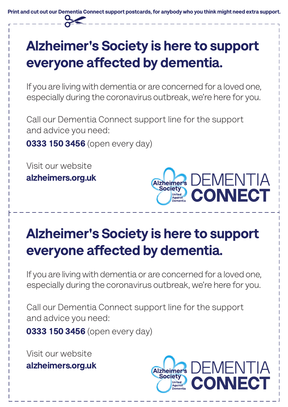Print and cut out our Dementia Connect support postcards, for anybody who you think might need extra support.

# Alzheimer's Society is here to support everyone affected by dementia.

If you are living with dementia or are concerned for a loved one, especially during the coronavirus outbreak, we're here for you.

Call our Dementia Connect support line for the support and advice you need:

0333 150 3456 (open every day)

Visit our website alzheimers.org.uk



## Alzheimer's Society is here to support everyone affected by dementia.

If you are living with dementia or are concerned for a loved one, especially during the coronavirus outbreak, we're here for you.

Call our Dementia Connect support line for the support and advice you need:

0333 150 3456 (open every day)

Visit our website alzheimers.org.uk